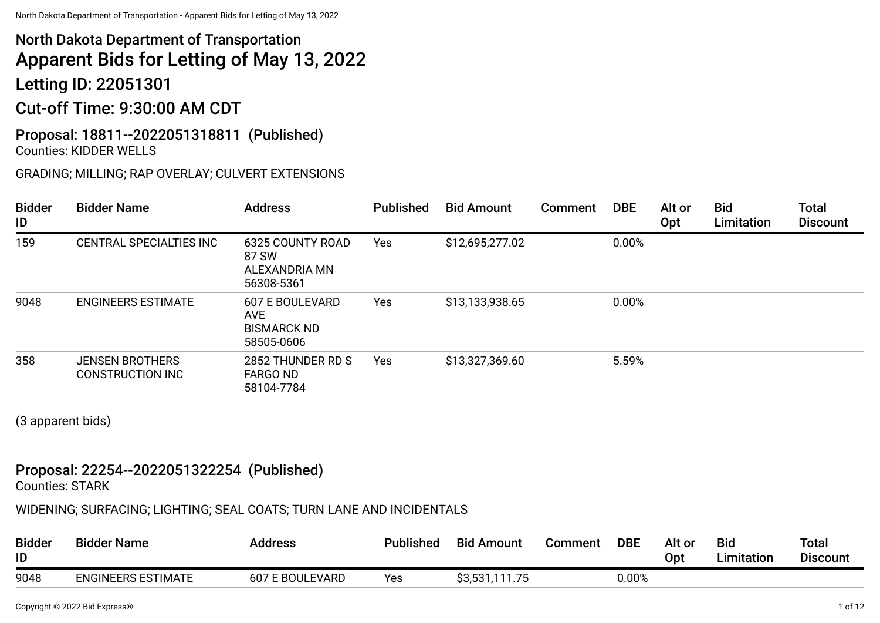# North Dakota Department of Transportation Apparent Bids for Letting of May 13, 2022

Letting ID: 22051301

# Cut-off Time: 9:30:00 AM CDT

#### Proposal: 18811--2022051318811 (Published) Counties: KIDDER WELLS

### GRADING; MILLING; RAP OVERLAY; CULVERT EXTENSIONS

| <b>Bidder</b><br>ID | <b>Bidder Name</b>                         | <b>Address</b>                                                           | <b>Published</b> | <b>Bid Amount</b> | Comment | <b>DBE</b> | Alt or<br>Opt | <b>Bid</b><br>Limitation | <b>Total</b><br><b>Discount</b> |
|---------------------|--------------------------------------------|--------------------------------------------------------------------------|------------------|-------------------|---------|------------|---------------|--------------------------|---------------------------------|
| 159                 | CENTRAL SPECIALTIES INC                    | 6325 COUNTY ROAD<br>87 SW<br>ALEXANDRIA MN<br>56308-5361                 | Yes              | \$12,695,277.02   |         | 0.00%      |               |                          |                                 |
| 9048                | <b>ENGINEERS ESTIMATE</b>                  | <b>607 E BOULEVARD</b><br><b>AVE</b><br><b>BISMARCK ND</b><br>58505-0606 | Yes              | \$13,133,938.65   |         | 0.00%      |               |                          |                                 |
| 358                 | <b>JENSEN BROTHERS</b><br>CONSTRUCTION INC | 2852 THUNDER RD S<br><b>FARGO ND</b><br>58104-7784                       | Yes              | \$13,327,369.60   |         | 5.59%      |               |                          |                                 |

(3 apparent bids)

### Proposal: 22254--2022051322254 (Published)

Counties: STARK

WIDENING; SURFACING; LIGHTING; SEAL COATS; TURN LANE AND INCIDENTALS

| <b>Bidder</b><br>ID | <b>Bidder Name</b>        | <b>Address</b>  | <b>Published</b> | <b>Bid Amount</b> | Comment | <b>DBE</b> | Alt or<br>Opt | <b>Bid</b><br>Limitation | Total<br><b>Discount</b> |
|---------------------|---------------------------|-----------------|------------------|-------------------|---------|------------|---------------|--------------------------|--------------------------|
| 9048                | <b>ENGINEERS ESTIMATE</b> | 607 E BOULEVARD | Yes              | \$3,531,111.75    |         | 0.00%      |               |                          |                          |

Copyright © 2022 Bid Express® 1 of 12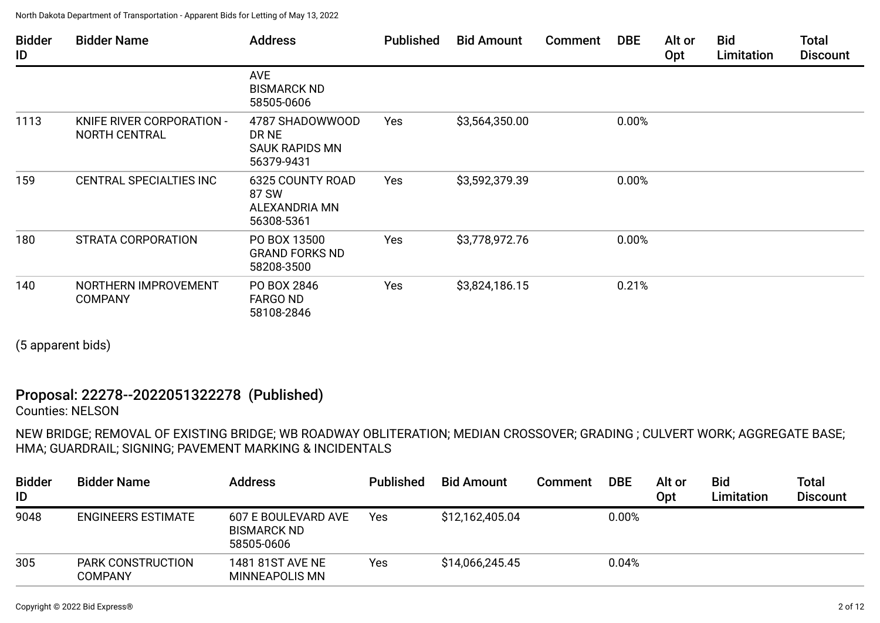| <b>Bidder</b><br>ID | <b>Bidder Name</b>                                | <b>Address</b>                                                  | <b>Published</b> | <b>Bid Amount</b> | <b>Comment</b> | <b>DBE</b> | Alt or<br>Opt | <b>Bid</b><br>Limitation | <b>Total</b><br><b>Discount</b> |
|---------------------|---------------------------------------------------|-----------------------------------------------------------------|------------------|-------------------|----------------|------------|---------------|--------------------------|---------------------------------|
|                     |                                                   | <b>AVE</b><br><b>BISMARCK ND</b><br>58505-0606                  |                  |                   |                |            |               |                          |                                 |
| 1113                | KNIFE RIVER CORPORATION -<br><b>NORTH CENTRAL</b> | 4787 SHADOWWOOD<br>DR NE<br><b>SAUK RAPIDS MN</b><br>56379-9431 | Yes              | \$3,564,350.00    |                | 0.00%      |               |                          |                                 |
| 159                 | CENTRAL SPECIALTIES INC                           | <b>6325 COUNTY ROAD</b><br>87 SW<br>ALEXANDRIA MN<br>56308-5361 | Yes              | \$3,592,379.39    |                | 0.00%      |               |                          |                                 |
| 180                 | STRATA CORPORATION                                | PO BOX 13500<br><b>GRAND FORKS ND</b><br>58208-3500             | Yes              | \$3,778,972.76    |                | 0.00%      |               |                          |                                 |
| 140                 | NORTHERN IMPROVEMENT<br><b>COMPANY</b>            | PO BOX 2846<br>FARGO ND<br>58108-2846                           | Yes              | \$3,824,186.15    |                | 0.21%      |               |                          |                                 |

(5 apparent bids)

## Proposal: 22278--2022051322278 (Published)

Counties: NELSON

NEW BRIDGE; REMOVAL OF EXISTING BRIDGE; WB ROADWAY OBLITERATION; MEDIAN CROSSOVER; GRADING ; CULVERT WORK; AGGREGATE BASE; HMA; GUARDRAIL; SIGNING; PAVEMENT MARKING & INCIDENTALS

| <b>Bidder</b><br>ID | <b>Bidder Name</b>                  | <b>Address</b>                                          | <b>Published</b> | <b>Bid Amount</b> | <b>Comment</b> | <b>DBE</b> | Alt or<br>Opt | <b>Bid</b><br>Limitation | Total<br><b>Discount</b> |
|---------------------|-------------------------------------|---------------------------------------------------------|------------------|-------------------|----------------|------------|---------------|--------------------------|--------------------------|
| 9048                | <b>ENGINEERS ESTIMATE</b>           | 607 E BOULEVARD AVE<br><b>BISMARCK ND</b><br>58505-0606 | Yes              | \$12,162,405.04   |                | 0.00%      |               |                          |                          |
| 305                 | <b>PARK CONSTRUCTION</b><br>COMPANY | 1481 81ST AVE NE<br><b>MINNEAPOLIS MN</b>               | <b>Yes</b>       | \$14,066,245.45   |                | 0.04%      |               |                          |                          |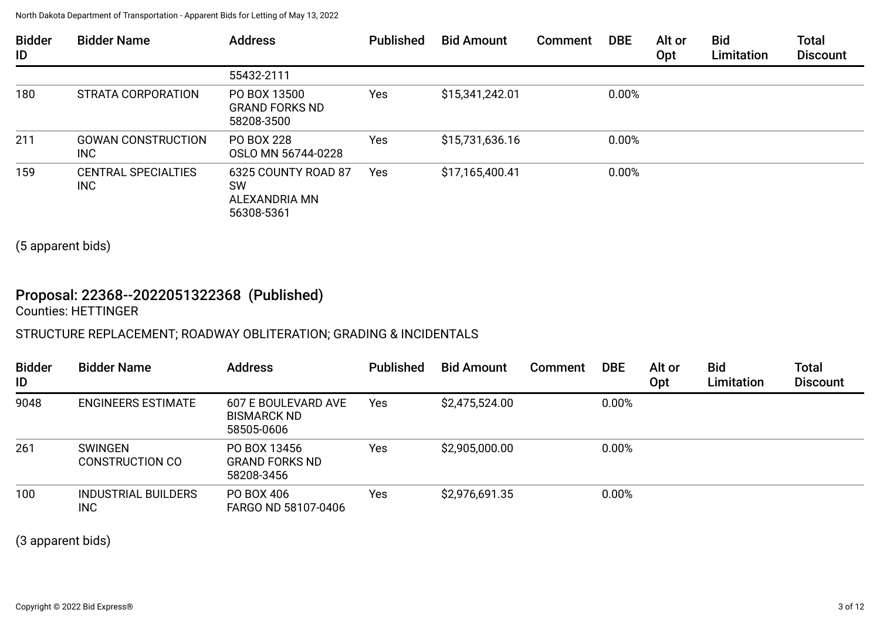| <b>Bidder</b><br>ID | <b>Bidder Name</b>                | <b>Address</b>                                                  | <b>Published</b> | <b>Bid Amount</b> | Comment | <b>DBE</b> | Alt or<br><b>Opt</b> | <b>Bid</b><br>Limitation | <b>Total</b><br><b>Discount</b> |
|---------------------|-----------------------------------|-----------------------------------------------------------------|------------------|-------------------|---------|------------|----------------------|--------------------------|---------------------------------|
|                     |                                   | 55432-2111                                                      |                  |                   |         |            |                      |                          |                                 |
| 180                 | STRATA CORPORATION                | PO BOX 13500<br><b>GRAND FORKS ND</b><br>58208-3500             | Yes              | \$15,341,242.01   |         | 0.00%      |                      |                          |                                 |
| 211                 | <b>GOWAN CONSTRUCTION</b><br>INC. | PO BOX 228<br>OSLO MN 56744-0228                                | Yes              | \$15,731,636.16   |         | 0.00%      |                      |                          |                                 |
| 159                 | <b>CENTRAL SPECIALTIES</b><br>INC | 6325 COUNTY ROAD 87<br><b>SW</b><br>ALEXANDRIA MN<br>56308-5361 | <b>Yes</b>       | \$17,165,400.41   |         | 0.00%      |                      |                          |                                 |

(5 apparent bids)

## Proposal: 22368--2022051322368 (Published)

Counties: HETTINGER

### STRUCTURE REPLACEMENT; ROADWAY OBLITERATION; GRADING & INCIDENTALS

| <b>Bidder</b><br>ID | <b>Bidder Name</b>                       | <b>Address</b>                                          | <b>Published</b> | <b>Bid Amount</b> | <b>Comment</b> | <b>DBE</b> | Alt or<br>Opt | <b>Bid</b><br>Limitation | <b>Total</b><br><b>Discount</b> |
|---------------------|------------------------------------------|---------------------------------------------------------|------------------|-------------------|----------------|------------|---------------|--------------------------|---------------------------------|
| 9048                | <b>ENGINEERS ESTIMATE</b>                | 607 E BOULEVARD AVE<br><b>BISMARCK ND</b><br>58505-0606 | Yes              | \$2,475,524.00    |                | 0.00%      |               |                          |                                 |
| 261                 | <b>SWINGEN</b><br><b>CONSTRUCTION CO</b> | PO BOX 13456<br><b>GRAND FORKS ND</b><br>58208-3456     | Yes              | \$2,905,000.00    |                | 0.00%      |               |                          |                                 |
| 100                 | INDUSTRIAL BUILDERS<br><b>INC</b>        | PO BOX 406<br>FARGO ND 58107-0406                       | Yes              | \$2,976,691.35    |                | 0.00%      |               |                          |                                 |

(3 apparent bids)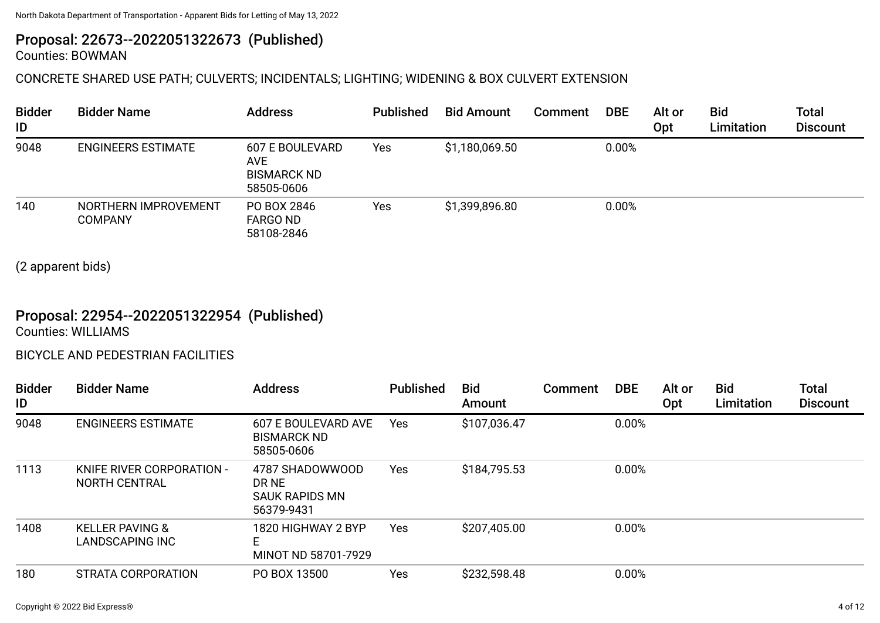# Proposal: 22673--2022051322673 (Published)

Counties: BOWMAN

### CONCRETE SHARED USE PATH; CULVERTS; INCIDENTALS; LIGHTING; WIDENING & BOX CULVERT EXTENSION

| <b>Bidder</b><br>ID | <b>Bidder Name</b>                     | <b>Address</b>                                              | <b>Published</b> | <b>Bid Amount</b> | Comment | <b>DBE</b> | Alt or<br>Opt | Bid<br>Limitation | <b>Total</b><br><b>Discount</b> |
|---------------------|----------------------------------------|-------------------------------------------------------------|------------------|-------------------|---------|------------|---------------|-------------------|---------------------------------|
| 9048                | <b>ENGINEERS ESTIMATE</b>              | 607 E BOULEVARD<br>AVE.<br><b>BISMARCK ND</b><br>58505-0606 | Yes              | \$1,180,069.50    |         | 0.00%      |               |                   |                                 |
| 140                 | NORTHERN IMPROVEMENT<br><b>COMPANY</b> | PO BOX 2846<br><b>FARGO ND</b><br>58108-2846                | Yes              | \$1,399,896.80    |         | 0.00%      |               |                   |                                 |

(2 apparent bids)

# Proposal: 22954--2022051322954 (Published)

Counties: WILLIAMS

#### BICYCLE AND PEDESTRIAN FACILITIES

| <b>Bidder</b><br>ID | <b>Bidder Name</b>                            | <b>Address</b>                                           | <b>Published</b> | <b>Bid</b><br>Amount | Comment | <b>DBE</b> | Alt or<br>Opt | <b>Bid</b><br>Limitation | <b>Total</b><br><b>Discount</b> |
|---------------------|-----------------------------------------------|----------------------------------------------------------|------------------|----------------------|---------|------------|---------------|--------------------------|---------------------------------|
| 9048                | <b>ENGINEERS ESTIMATE</b>                     | 607 E BOULEVARD AVE<br><b>BISMARCK ND</b><br>58505-0606  | Yes              | \$107,036.47         |         | 0.00%      |               |                          |                                 |
| 1113                | KNIFE RIVER CORPORATION -<br>NORTH CENTRAL    | 4787 SHADOWWOOD<br>DR NE<br>SAUK RAPIDS MN<br>56379-9431 | Yes              | \$184,795.53         |         | 0.00%      |               |                          |                                 |
| 1408                | <b>KELLER PAVING &amp;</b><br>LANDSCAPING INC | 1820 HIGHWAY 2 BYP<br>E.<br>MINOT ND 58701-7929          | <b>Yes</b>       | \$207,405.00         |         | 0.00%      |               |                          |                                 |
| 180                 | STRATA CORPORATION                            | PO BOX 13500                                             | Yes              | \$232,598.48         |         | 0.00%      |               |                          |                                 |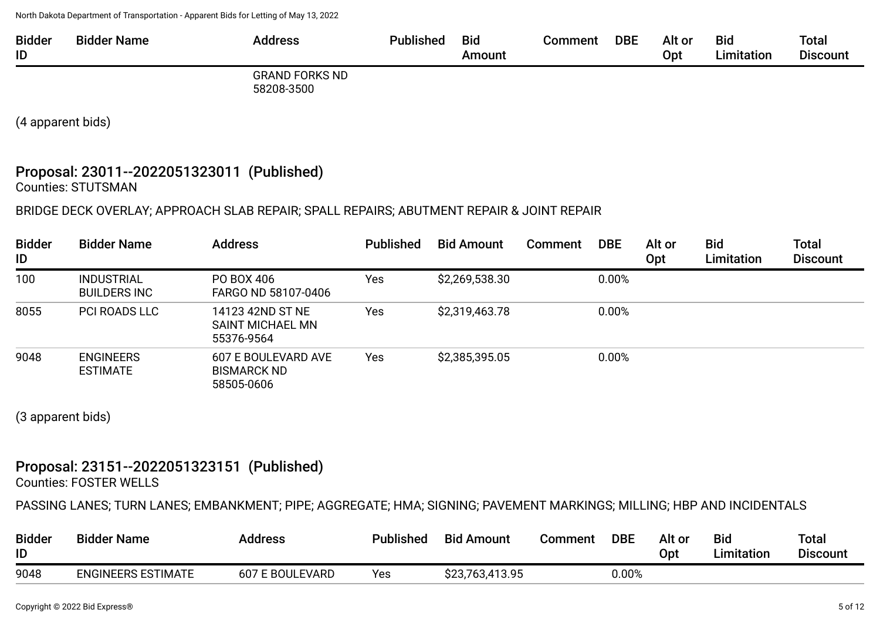| <b>Bidder</b><br>ID | <b>Bidder Name</b> | <b>Address</b>                      | <b>Published</b> | <b>Bid</b><br>Amount | Comment | <b>DBE</b> | Alt or<br>Opt | <b>Bid</b><br>Limitation | <b>Total</b><br><b>Discount</b> |
|---------------------|--------------------|-------------------------------------|------------------|----------------------|---------|------------|---------------|--------------------------|---------------------------------|
|                     |                    | <b>GRAND FORKS ND</b><br>58208-3500 |                  |                      |         |            |               |                          |                                 |

(4 apparent bids)

# Proposal: 23011--2022051323011 (Published)

Counties: STUTSMAN

#### BRIDGE DECK OVERLAY; APPROACH SLAB REPAIR; SPALL REPAIRS; ABUTMENT REPAIR & JOINT REPAIR

| <b>Bidder</b><br>ID | <b>Bidder Name</b>                       | <b>Address</b>                                          | <b>Published</b> | <b>Bid Amount</b> | Comment | <b>DBE</b> | Alt or<br>Opt | <b>Bid</b><br>Limitation | <b>Total</b><br><b>Discount</b> |
|---------------------|------------------------------------------|---------------------------------------------------------|------------------|-------------------|---------|------------|---------------|--------------------------|---------------------------------|
| 100                 | <b>INDUSTRIAL</b><br><b>BUILDERS INC</b> | PO BOX 406<br>FARGO ND 58107-0406                       | Yes              | \$2,269,538.30    |         | 0.00%      |               |                          |                                 |
| 8055                | <b>PCI ROADS LLC</b>                     | 14123 42ND ST NE<br>SAINT MICHAEL MN<br>55376-9564      | Yes              | \$2,319,463.78    |         | 0.00%      |               |                          |                                 |
| 9048                | <b>ENGINEERS</b><br><b>ESTIMATE</b>      | 607 E BOULEVARD AVE<br><b>BISMARCK ND</b><br>58505-0606 | Yes              | \$2,385,395.05    |         | 0.00%      |               |                          |                                 |

(3 apparent bids)

### Proposal: 23151--2022051323151 (Published)

Counties: FOSTER WELLS

PASSING LANES; TURN LANES; EMBANKMENT; PIPE; AGGREGATE; HMA; SIGNING; PAVEMENT MARKINGS; MILLING; HBP AND INCIDENTALS

| <b>Bidder</b><br>ID | <b>Bidder Name</b>        | <b>Address</b>         | <b>Published</b> | <b>Bid Amount</b> | Comment | <b>DBE</b> | Alt or<br>Opt | <b>Bid</b><br><b>Limitation</b> | <b>Total</b><br><b>Discount</b> |
|---------------------|---------------------------|------------------------|------------------|-------------------|---------|------------|---------------|---------------------------------|---------------------------------|
| 9048                | <b>ENGINEERS ESTIMATE</b> | <b>607 E BOULEVARD</b> | Yes              | \$23,763,413.95   |         | 0.00%      |               |                                 |                                 |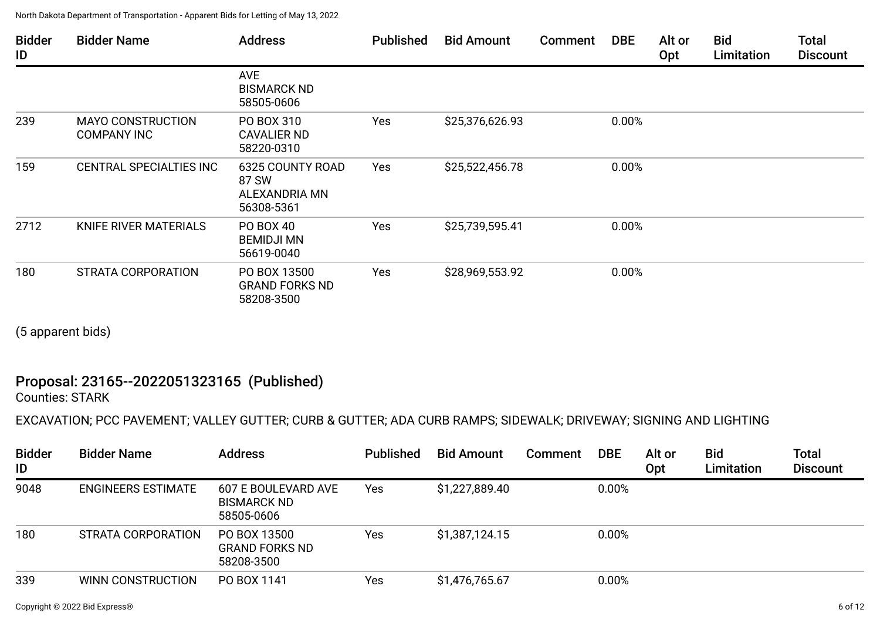| <b>Bidder</b><br>ID | <b>Bidder Name</b>                             | <b>Address</b>                                           | <b>Published</b> | <b>Bid Amount</b> | <b>Comment</b> | <b>DBE</b> | Alt or<br>Opt | <b>Bid</b><br>Limitation | <b>Total</b><br><b>Discount</b> |
|---------------------|------------------------------------------------|----------------------------------------------------------|------------------|-------------------|----------------|------------|---------------|--------------------------|---------------------------------|
|                     |                                                | <b>AVE</b><br><b>BISMARCK ND</b><br>58505-0606           |                  |                   |                |            |               |                          |                                 |
| 239                 | <b>MAYO CONSTRUCTION</b><br><b>COMPANY INC</b> | PO BOX 310<br><b>CAVALIER ND</b><br>58220-0310           | Yes              | \$25,376,626.93   |                | 0.00%      |               |                          |                                 |
| 159                 | CENTRAL SPECIALTIES INC                        | 6325 COUNTY ROAD<br>87 SW<br>ALEXANDRIA MN<br>56308-5361 | Yes              | \$25,522,456.78   |                | 0.00%      |               |                          |                                 |
| 2712                | KNIFE RIVER MATERIALS                          | PO BOX 40<br><b>BEMIDJI MN</b><br>56619-0040             | Yes              | \$25,739,595.41   |                | 0.00%      |               |                          |                                 |
| 180                 | <b>STRATA CORPORATION</b>                      | PO BOX 13500<br><b>GRAND FORKS ND</b><br>58208-3500      | Yes              | \$28,969,553.92   |                | 0.00%      |               |                          |                                 |

(5 apparent bids)

# Proposal: 23165--2022051323165 (Published)

Counties: STARK

### EXCAVATION; PCC PAVEMENT; VALLEY GUTTER; CURB & GUTTER; ADA CURB RAMPS; SIDEWALK; DRIVEWAY; SIGNING AND LIGHTING

| <b>Bidder</b><br>ID | <b>Bidder Name</b>        | <b>Address</b>                                          | <b>Published</b> | <b>Bid Amount</b> | Comment | <b>DBE</b> | Alt or<br>Opt | <b>Bid</b><br>Limitation | <b>Total</b><br><b>Discount</b> |
|---------------------|---------------------------|---------------------------------------------------------|------------------|-------------------|---------|------------|---------------|--------------------------|---------------------------------|
| 9048                | <b>ENGINEERS ESTIMATE</b> | 607 E BOULEVARD AVE<br><b>BISMARCK ND</b><br>58505-0606 | <b>Yes</b>       | \$1,227,889.40    |         | 0.00%      |               |                          |                                 |
| 180                 | STRATA CORPORATION        | PO BOX 13500<br><b>GRAND FORKS ND</b><br>58208-3500     | Yes              | \$1,387,124.15    |         | 0.00%      |               |                          |                                 |
| 339                 | WINN CONSTRUCTION         | PO BOX 1141                                             | Yes              | \$1,476,765.67    |         | 0.00%      |               |                          |                                 |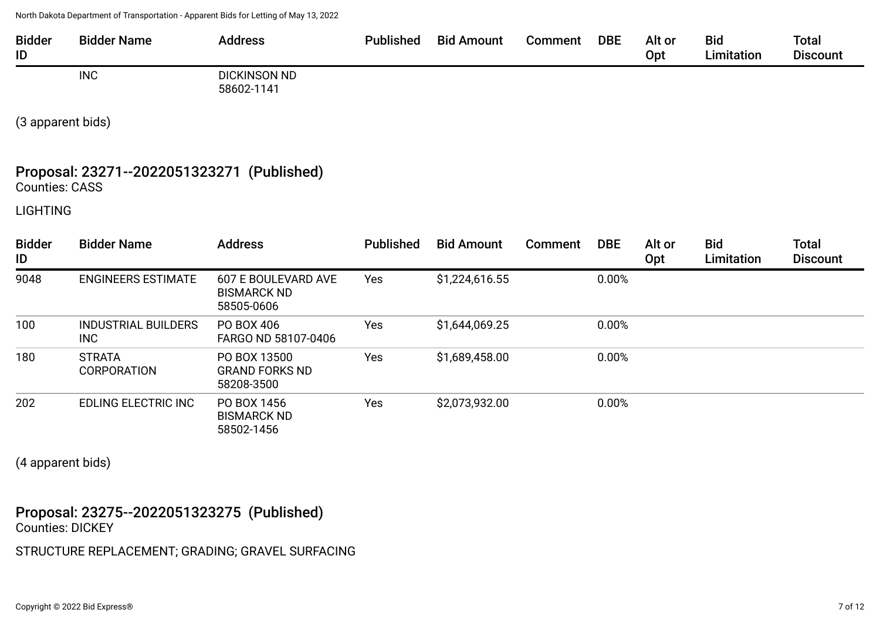| <b>Bidder</b><br>ID | <b>Bidder Name</b> | <b>Address</b>                    | <b>Published</b> | <b>Bid Amount</b> | Comment | <b>DBE</b> | Alt or<br>Opt | <b>Bid</b><br>Limitation | <b>Total</b><br><b>Discount</b> |
|---------------------|--------------------|-----------------------------------|------------------|-------------------|---------|------------|---------------|--------------------------|---------------------------------|
|                     | <b>INC</b>         | <b>DICKINSON ND</b><br>58602-1141 |                  |                   |         |            |               |                          |                                 |

(3 apparent bids)

# Proposal: 23271--2022051323271 (Published)

Counties: CASS

LIGHTING

| <b>Bidder</b><br>ID | <b>Bidder Name</b>                  | <b>Address</b>                                          | <b>Published</b> | <b>Bid Amount</b> | Comment | <b>DBE</b> | Alt or<br><b>Opt</b> | <b>Bid</b><br>Limitation | <b>Total</b><br><b>Discount</b> |
|---------------------|-------------------------------------|---------------------------------------------------------|------------------|-------------------|---------|------------|----------------------|--------------------------|---------------------------------|
| 9048                | <b>ENGINEERS ESTIMATE</b>           | 607 E BOULEVARD AVE<br><b>BISMARCK ND</b><br>58505-0606 | Yes              | \$1,224,616.55    |         | 0.00%      |                      |                          |                                 |
| 100                 | <b>INDUSTRIAL BUILDERS</b><br>INC   | PO BOX 406<br>FARGO ND 58107-0406                       | Yes              | \$1,644,069.25    |         | 0.00%      |                      |                          |                                 |
| 180                 | <b>STRATA</b><br><b>CORPORATION</b> | PO BOX 13500<br><b>GRAND FORKS ND</b><br>58208-3500     | Yes              | \$1,689,458.00    |         | 0.00%      |                      |                          |                                 |
| 202                 | <b>EDLING ELECTRIC INC</b>          | PO BOX 1456<br><b>BISMARCK ND</b><br>58502-1456         | Yes              | \$2,073,932.00    |         | 0.00%      |                      |                          |                                 |

(4 apparent bids)

Proposal: 23275--2022051323275 (Published) Counties: DICKEY

STRUCTURE REPLACEMENT; GRADING; GRAVEL SURFACING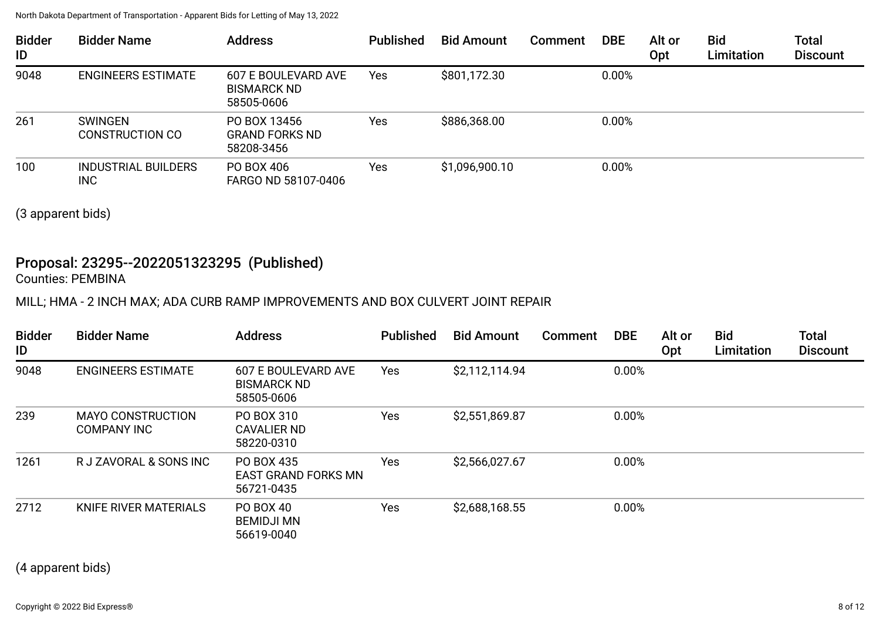| <b>Bidder</b><br>ID | <b>Bidder Name</b>                       | <b>Address</b>                                          | <b>Published</b> | <b>Bid Amount</b> | Comment | <b>DBE</b> | Alt or<br>Opt | <b>Bid</b><br>Limitation | <b>Total</b><br><b>Discount</b> |
|---------------------|------------------------------------------|---------------------------------------------------------|------------------|-------------------|---------|------------|---------------|--------------------------|---------------------------------|
| 9048                | <b>ENGINEERS ESTIMATE</b>                | 607 E BOULEVARD AVE<br><b>BISMARCK ND</b><br>58505-0606 | Yes              | \$801,172.30      |         | 0.00%      |               |                          |                                 |
| 261                 | <b>SWINGEN</b><br><b>CONSTRUCTION CO</b> | PO BOX 13456<br><b>GRAND FORKS ND</b><br>58208-3456     | Yes              | \$886,368.00      |         | 0.00%      |               |                          |                                 |
| 100                 | <b>INDUSTRIAL BUILDERS</b><br><b>INC</b> | PO BOX 406<br>FARGO ND 58107-0406                       | Yes              | \$1,096,900.10    |         | 0.00%      |               |                          |                                 |

(3 apparent bids)

#### Proposal: 23295--2022051323295 (Published) Counties: PEMBINA

MILL; HMA - 2 INCH MAX; ADA CURB RAMP IMPROVEMENTS AND BOX CULVERT JOINT REPAIR

| <b>Bidder</b><br>ID | <b>Bidder Name</b>                             | <b>Address</b>                                          | <b>Published</b> | <b>Bid Amount</b> | Comment | <b>DBE</b> | Alt or<br>Opt | <b>Bid</b><br>Limitation | <b>Total</b><br><b>Discount</b> |
|---------------------|------------------------------------------------|---------------------------------------------------------|------------------|-------------------|---------|------------|---------------|--------------------------|---------------------------------|
| 9048                | <b>ENGINEERS ESTIMATE</b>                      | 607 E BOULEVARD AVE<br><b>BISMARCK ND</b><br>58505-0606 | Yes              | \$2,112,114.94    |         | 0.00%      |               |                          |                                 |
| 239                 | <b>MAYO CONSTRUCTION</b><br><b>COMPANY INC</b> | PO BOX 310<br><b>CAVALIER ND</b><br>58220-0310          | Yes              | \$2,551,869.87    |         | 0.00%      |               |                          |                                 |
| 1261                | R J ZAVORAL & SONS INC                         | PO BOX 435<br><b>EAST GRAND FORKS MN</b><br>56721-0435  | Yes              | \$2,566,027.67    |         | 0.00%      |               |                          |                                 |
| 2712                | KNIFE RIVER MATERIALS                          | PO BOX 40<br><b>BEMIDJI MN</b><br>56619-0040            | Yes              | \$2,688,168.55    |         | 0.00%      |               |                          |                                 |

(4 apparent bids)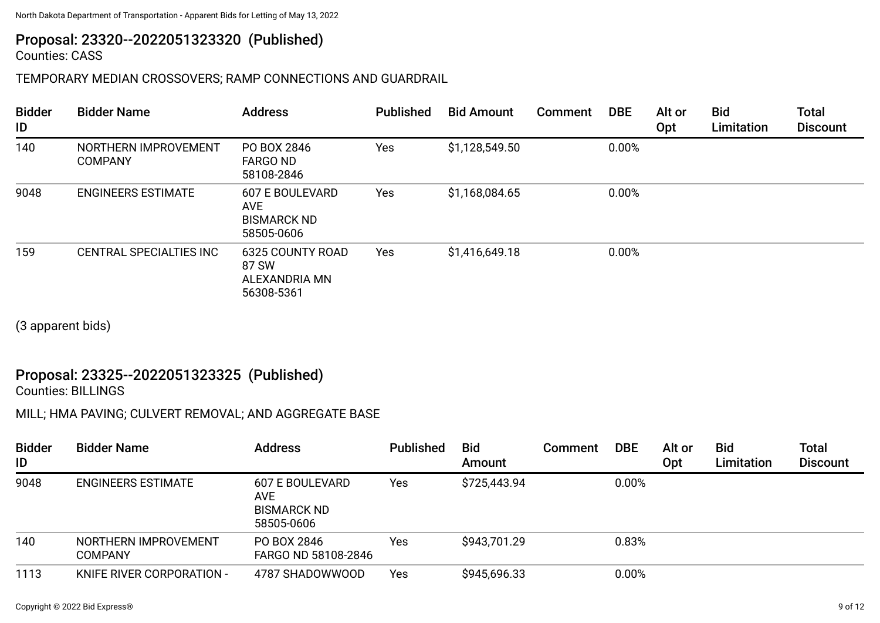# Proposal: 23320--2022051323320 (Published)

Counties: CASS

### TEMPORARY MEDIAN CROSSOVERS; RAMP CONNECTIONS AND GUARDRAIL

| <b>Bidder</b><br>ID | <b>Bidder Name</b>                     | <b>Address</b>                                                    | <b>Published</b> | <b>Bid Amount</b> | Comment | <b>DBE</b> | Alt or<br><b>Opt</b> | <b>Bid</b><br>Limitation | <b>Total</b><br><b>Discount</b> |
|---------------------|----------------------------------------|-------------------------------------------------------------------|------------------|-------------------|---------|------------|----------------------|--------------------------|---------------------------------|
| 140                 | NORTHERN IMPROVEMENT<br><b>COMPANY</b> | PO BOX 2846<br><b>FARGO ND</b><br>58108-2846                      | Yes              | \$1,128,549.50    |         | 0.00%      |                      |                          |                                 |
| 9048                | <b>ENGINEERS ESTIMATE</b>              | <b>607 E BOULEVARD</b><br>AVE<br><b>BISMARCK ND</b><br>58505-0606 | Yes              | \$1,168,084.65    |         | 0.00%      |                      |                          |                                 |
| 159                 | <b>CENTRAL SPECIALTIES INC</b>         | <b>6325 COUNTY ROAD</b><br>87 SW<br>ALEXANDRIA MN<br>56308-5361   | Yes              | \$1,416,649.18    |         | 0.00%      |                      |                          |                                 |

(3 apparent bids)

## Proposal: 23325--2022051323325 (Published)

Counties: BILLINGS

MILL; HMA PAVING; CULVERT REMOVAL; AND AGGREGATE BASE

| <b>Bidder</b><br>ID | <b>Bidder Name</b>                     | <b>Address</b>                                             | <b>Published</b> | <b>Bid</b><br>Amount | Comment | <b>DBE</b> | Alt or<br>Opt | <b>Bid</b><br>Limitation | <b>Total</b><br><b>Discount</b> |
|---------------------|----------------------------------------|------------------------------------------------------------|------------------|----------------------|---------|------------|---------------|--------------------------|---------------------------------|
| 9048                | <b>ENGINEERS ESTIMATE</b>              | 607 E BOULEVARD<br>AVE<br><b>BISMARCK ND</b><br>58505-0606 | Yes              | \$725,443.94         |         | 0.00%      |               |                          |                                 |
| 140                 | NORTHERN IMPROVEMENT<br><b>COMPANY</b> | PO BOX 2846<br>FARGO ND 58108-2846                         | Yes              | \$943,701.29         |         | 0.83%      |               |                          |                                 |
| 1113                | KNIFE RIVER CORPORATION -              | 4787 SHADOWWOOD                                            | Yes              | \$945,696.33         |         | 0.00%      |               |                          |                                 |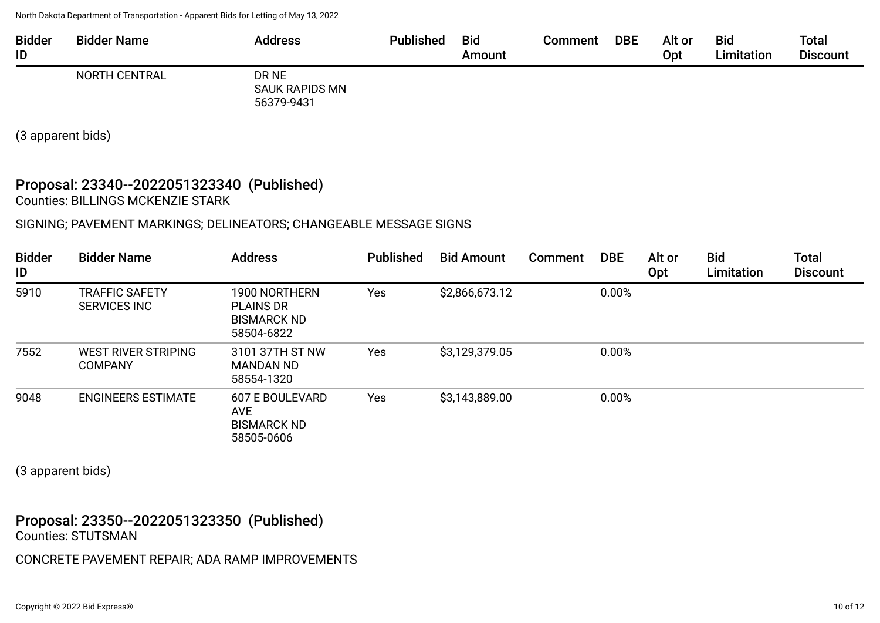| <b>Bidder</b><br>ID | <b>Bidder Name</b> | Address                                      | <b>Published</b> | <b>Bid</b><br>Amount | Comment | <b>DBE</b> | Alt or<br>Opt | <b>Bid</b><br>Limitation | <b>Total</b><br><b>Discount</b> |
|---------------------|--------------------|----------------------------------------------|------------------|----------------------|---------|------------|---------------|--------------------------|---------------------------------|
|                     | NORTH CENTRAL      | DR NE<br><b>SAUK RAPIDS MN</b><br>56379-9431 |                  |                      |         |            |               |                          |                                 |

(3 apparent bids)

#### Proposal: 23340--2022051323340 (Published) Counties: BILLINGS MCKENZIE STARK

#### SIGNING; PAVEMENT MARKINGS; DELINEATORS; CHANGEABLE MESSAGE SIGNS

| <b>Bidder</b><br>ID | <b>Bidder Name</b>                           | <b>Address</b>                                                        | <b>Published</b> | <b>Bid Amount</b> | <b>Comment</b> | <b>DBE</b> | Alt or<br>Opt | <b>Bid</b><br>Limitation | <b>Total</b><br><b>Discount</b> |
|---------------------|----------------------------------------------|-----------------------------------------------------------------------|------------------|-------------------|----------------|------------|---------------|--------------------------|---------------------------------|
| 5910                | <b>TRAFFIC SAFETY</b><br><b>SERVICES INC</b> | 1900 NORTHERN<br><b>PLAINS DR</b><br><b>BISMARCK ND</b><br>58504-6822 | Yes              | \$2,866,673.12    |                | 0.00%      |               |                          |                                 |
| 7552                | WEST RIVER STRIPING<br><b>COMPANY</b>        | 3101 37TH ST NW<br>MANDAN ND<br>58554-1320                            | Yes              | \$3,129,379.05    |                | 0.00%      |               |                          |                                 |
| 9048                | <b>ENGINEERS ESTIMATE</b>                    | 607 E BOULEVARD<br><b>AVE</b><br><b>BISMARCK ND</b><br>58505-0606     | Yes              | \$3,143,889.00    |                | 0.00%      |               |                          |                                 |

(3 apparent bids)

#### Proposal: 23350--2022051323350 (Published) Counties: STUTSMAN

CONCRETE PAVEMENT REPAIR; ADA RAMP IMPROVEMENTS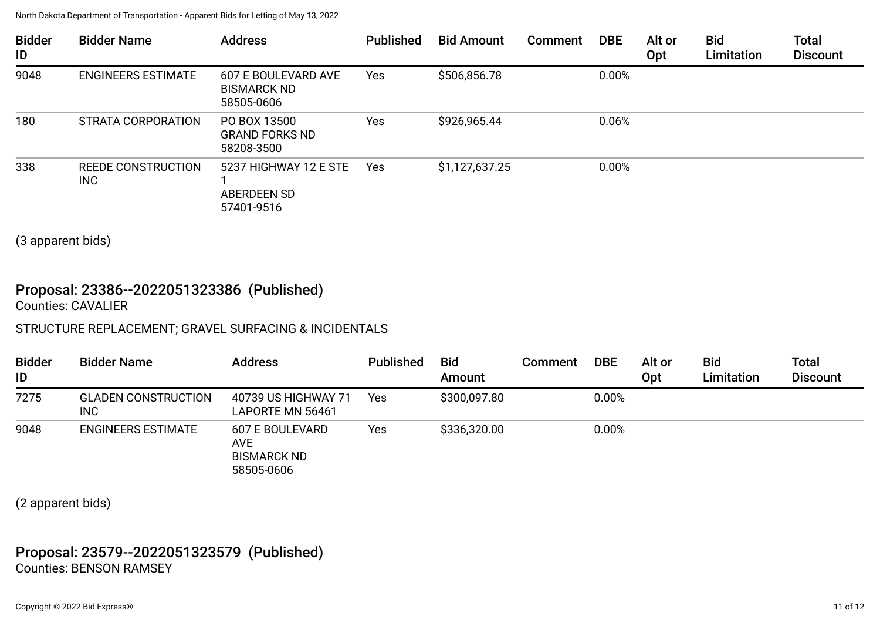| <b>Bidder</b><br>ID | <b>Bidder Name</b>        | <b>Address</b>                                            | <b>Published</b> | <b>Bid Amount</b> | <b>Comment</b> | <b>DBE</b> | Alt or<br><b>Opt</b> | <b>Bid</b><br>Limitation | <b>Total</b><br><b>Discount</b> |
|---------------------|---------------------------|-----------------------------------------------------------|------------------|-------------------|----------------|------------|----------------------|--------------------------|---------------------------------|
| 9048                | <b>ENGINEERS ESTIMATE</b> | 607 E BOULEVARD AVE<br><b>BISMARCK ND</b><br>58505-0606   | Yes              | \$506,856.78      |                | 0.00%      |                      |                          |                                 |
| 180                 | STRATA CORPORATION        | PO BOX 13500<br><b>GRAND FORKS ND</b><br>58208-3500       | Yes              | \$926,965.44      |                | 0.06%      |                      |                          |                                 |
| 338                 | REEDE CONSTRUCTION<br>INC | 5237 HIGHWAY 12 E STE<br><b>ABERDEEN SD</b><br>57401-9516 | Yes              | \$1,127,637.25    |                | 0.00%      |                      |                          |                                 |

(3 apparent bids)

## Proposal: 23386--2022051323386 (Published)

Counties: CAVALIER

#### STRUCTURE REPLACEMENT; GRAVEL SURFACING & INCIDENTALS

| <b>Bidder</b><br>ID | <b>Bidder Name</b>                       | <b>Address</b>                                                    | <b>Published</b> | <b>Bid</b><br>Amount | Comment | <b>DBE</b> | Alt or<br>Opt | <b>Bid</b><br>Limitation | Total<br><b>Discount</b> |
|---------------------|------------------------------------------|-------------------------------------------------------------------|------------------|----------------------|---------|------------|---------------|--------------------------|--------------------------|
| 7275                | <b>GLADEN CONSTRUCTION</b><br><b>INC</b> | 40739 US HIGHWAY 71<br>LAPORTE MN 56461                           | Yes              | \$300,097.80         |         | 0.00%      |               |                          |                          |
| 9048                | <b>ENGINEERS ESTIMATE</b>                | 607 E BOULEVARD<br><b>AVE</b><br><b>BISMARCK ND</b><br>58505-0606 | Yes              | \$336,320.00         |         | 0.00%      |               |                          |                          |

(2 apparent bids)

### Proposal: 23579--2022051323579 (Published) Counties: BENSON RAMSEY